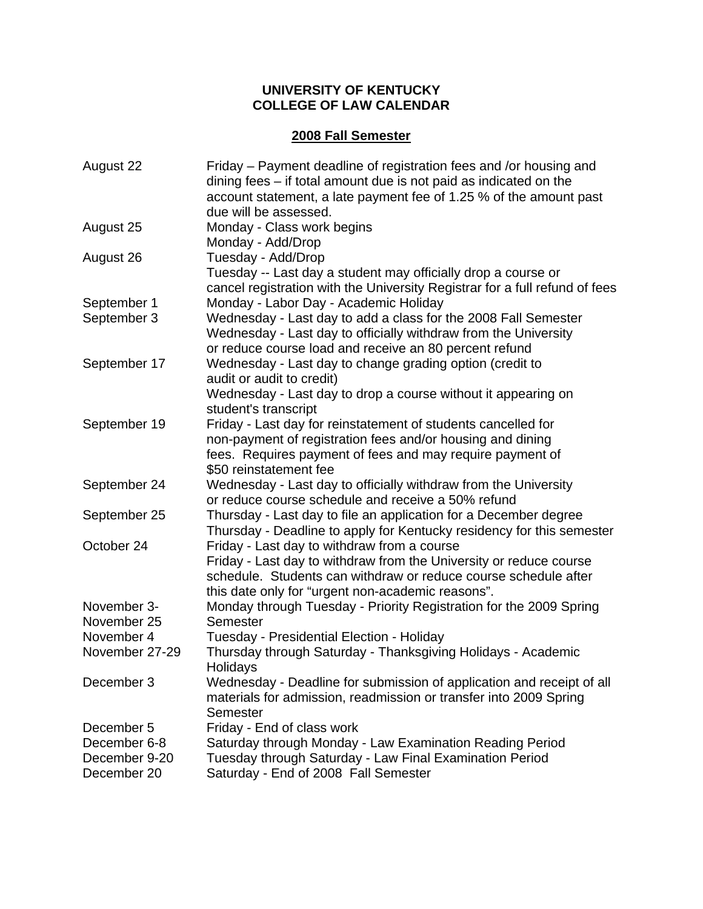## **UNIVERSITY OF KENTUCKY COLLEGE OF LAW CALENDAR**

## **2008 Fall Semester**

| Friday – Payment deadline of registration fees and /or housing and<br>dining fees $-$ if total amount due is not paid as indicated on the<br>account statement, a late payment fee of 1.25 % of the amount past                           |
|-------------------------------------------------------------------------------------------------------------------------------------------------------------------------------------------------------------------------------------------|
| due will be assessed.<br>Monday - Class work begins<br>Monday - Add/Drop                                                                                                                                                                  |
| Tuesday - Add/Drop<br>Tuesday -- Last day a student may officially drop a course or                                                                                                                                                       |
| cancel registration with the University Registrar for a full refund of fees<br>Monday - Labor Day - Academic Holiday                                                                                                                      |
| Wednesday - Last day to add a class for the 2008 Fall Semester<br>Wednesday - Last day to officially withdraw from the University<br>or reduce course load and receive an 80 percent refund                                               |
| Wednesday - Last day to change grading option (credit to<br>audit or audit to credit)                                                                                                                                                     |
| Wednesday - Last day to drop a course without it appearing on<br>student's transcript                                                                                                                                                     |
| Friday - Last day for reinstatement of students cancelled for                                                                                                                                                                             |
| non-payment of registration fees and/or housing and dining                                                                                                                                                                                |
| fees. Requires payment of fees and may require payment of                                                                                                                                                                                 |
| \$50 reinstatement fee<br>Wednesday - Last day to officially withdraw from the University                                                                                                                                                 |
| or reduce course schedule and receive a 50% refund                                                                                                                                                                                        |
| Thursday - Last day to file an application for a December degree<br>Thursday - Deadline to apply for Kentucky residency for this semester                                                                                                 |
| Friday - Last day to withdraw from a course<br>Friday - Last day to withdraw from the University or reduce course<br>schedule. Students can withdraw or reduce course schedule after<br>this date only for "urgent non-academic reasons". |
| Monday through Tuesday - Priority Registration for the 2009 Spring                                                                                                                                                                        |
| Semester                                                                                                                                                                                                                                  |
| Tuesday - Presidential Election - Holiday                                                                                                                                                                                                 |
| Thursday through Saturday - Thanksgiving Holidays - Academic<br>Holidays                                                                                                                                                                  |
| Wednesday - Deadline for submission of application and receipt of all<br>materials for admission, readmission or transfer into 2009 Spring<br>Semester                                                                                    |
| Friday - End of class work                                                                                                                                                                                                                |
| Saturday through Monday - Law Examination Reading Period<br>Tuesday through Saturday - Law Final Examination Period<br>Saturday - End of 2008 Fall Semester                                                                               |
|                                                                                                                                                                                                                                           |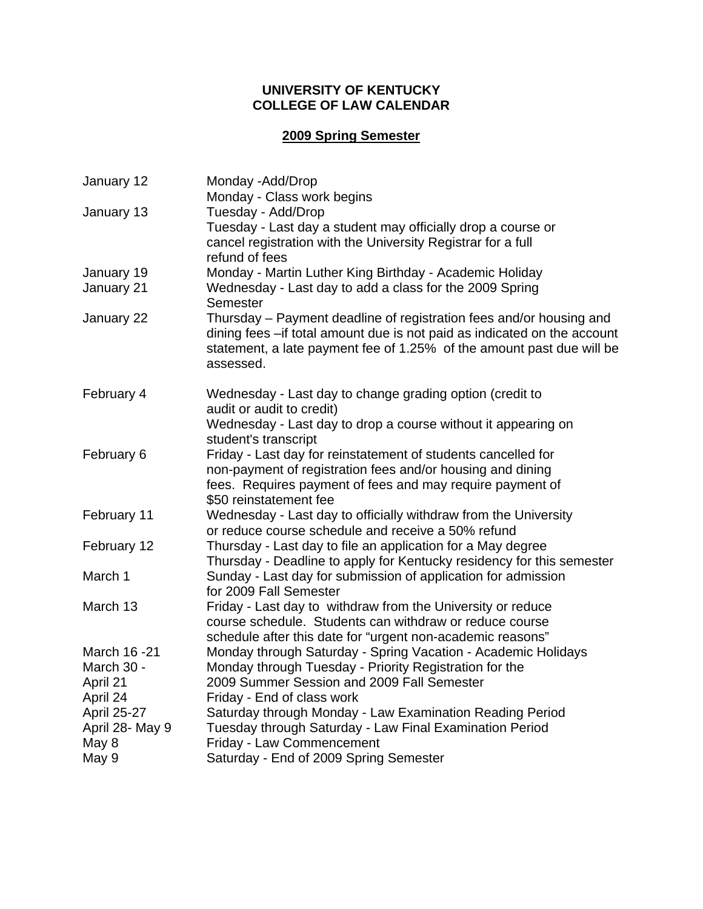## **UNIVERSITY OF KENTUCKY COLLEGE OF LAW CALENDAR**

# **2009 Spring Semester**

| January 12               | Monday -Add/Drop                                                                                                                                                                                                                           |
|--------------------------|--------------------------------------------------------------------------------------------------------------------------------------------------------------------------------------------------------------------------------------------|
|                          | Monday - Class work begins                                                                                                                                                                                                                 |
| January 13               | Tuesday - Add/Drop<br>Tuesday - Last day a student may officially drop a course or<br>cancel registration with the University Registrar for a full<br>refund of fees                                                                       |
| January 19<br>January 21 | Monday - Martin Luther King Birthday - Academic Holiday<br>Wednesday - Last day to add a class for the 2009 Spring<br>Semester                                                                                                             |
| January 22               | Thursday – Payment deadline of registration fees and/or housing and<br>dining fees - if total amount due is not paid as indicated on the account<br>statement, a late payment fee of 1.25% of the amount past due will be<br>assessed.     |
| February 4               | Wednesday - Last day to change grading option (credit to<br>audit or audit to credit)<br>Wednesday - Last day to drop a course without it appearing on                                                                                     |
| February 6               | student's transcript<br>Friday - Last day for reinstatement of students cancelled for<br>non-payment of registration fees and/or housing and dining<br>fees. Requires payment of fees and may require payment of<br>\$50 reinstatement fee |
| February 11              | Wednesday - Last day to officially withdraw from the University<br>or reduce course schedule and receive a 50% refund                                                                                                                      |
| February 12              | Thursday - Last day to file an application for a May degree<br>Thursday - Deadline to apply for Kentucky residency for this semester                                                                                                       |
| March 1                  | Sunday - Last day for submission of application for admission<br>for 2009 Fall Semester                                                                                                                                                    |
| March 13                 | Friday - Last day to withdraw from the University or reduce<br>course schedule. Students can withdraw or reduce course<br>schedule after this date for "urgent non-academic reasons"                                                       |
| March 16 -21             | Monday through Saturday - Spring Vacation - Academic Holidays                                                                                                                                                                              |
| March 30 -               | Monday through Tuesday - Priority Registration for the                                                                                                                                                                                     |
| April 21                 | 2009 Summer Session and 2009 Fall Semester                                                                                                                                                                                                 |
| April 24                 | Friday - End of class work                                                                                                                                                                                                                 |
| April 25-27              | Saturday through Monday - Law Examination Reading Period                                                                                                                                                                                   |
| April 28- May 9          | Tuesday through Saturday - Law Final Examination Period                                                                                                                                                                                    |
| May 8                    | Friday - Law Commencement                                                                                                                                                                                                                  |
| May 9                    | Saturday - End of 2009 Spring Semester                                                                                                                                                                                                     |